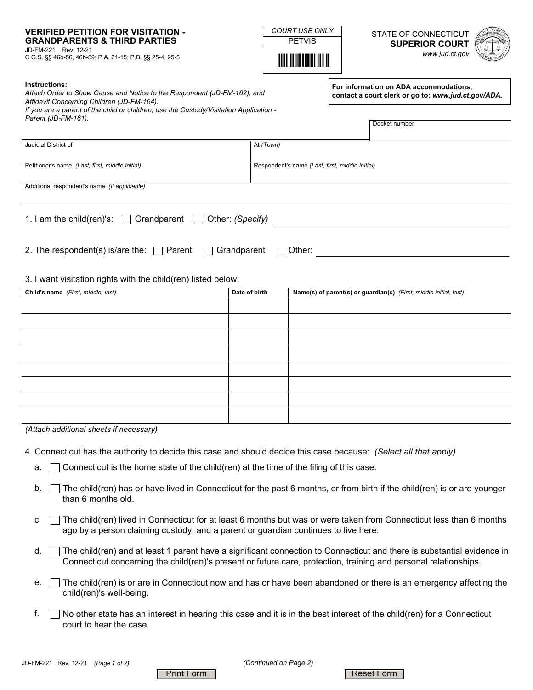### **VERIFIED PETITION FOR VISITATION - GRANDPARENTS & THIRD PARTIES**

JD-FM-221 Rev. 12-21 C.G.S. §§ 46b-56, 46b-59; P.A. 21-15; P.B. §§ 25-4, 25-5 PETVIS

<u>\*PETVISHING PETVISHING P</u>

**COURT USE ONLY** STATE OF CONNECTICUT **SUPERIOR COURT**  *www.jud.ct.gov*



#### **Instructions:**

*Attach Order to Show Cause and Notice to the Respondent (JD-FM-162), and Affidavit Concerning Children (JD-FM-164). If you are a parent of the child or children, use the Custody/Visitation Application - Parent (JD-FM-161).*

**For information on ADA accommodations, contact a court clerk or go to:** *www.jud.ct.gov/ADA.*

Docket number

| Judicial District of                                                        | At (Town)     |                                                                   |  |  |  |
|-----------------------------------------------------------------------------|---------------|-------------------------------------------------------------------|--|--|--|
|                                                                             |               |                                                                   |  |  |  |
| Petitioner's name (Last, first, middle initial)                             |               | Respondent's name (Last, first, middle initial)                   |  |  |  |
| Additional respondent's name (If applicable)                                |               |                                                                   |  |  |  |
|                                                                             |               |                                                                   |  |  |  |
|                                                                             |               |                                                                   |  |  |  |
| 1. I am the child(ren)'s: $\Box$ Grandparent $\Box$ Other: (Specify)        |               |                                                                   |  |  |  |
|                                                                             |               |                                                                   |  |  |  |
|                                                                             |               |                                                                   |  |  |  |
| 2. The respondent(s) is/are the: $\Box$ Parent $\Box$ Grandparent<br>Other: |               |                                                                   |  |  |  |
|                                                                             |               |                                                                   |  |  |  |
| 3. I want visitation rights with the child(ren) listed below:               |               |                                                                   |  |  |  |
| Child's name (First, middle, last)                                          | Date of birth | Name(s) of parent(s) or guardian(s) (First, middle initial, last) |  |  |  |
|                                                                             |               |                                                                   |  |  |  |
|                                                                             |               |                                                                   |  |  |  |
|                                                                             |               |                                                                   |  |  |  |

| (Attach additional sheets if necessary) |  |
|-----------------------------------------|--|

- 4. Connecticut has the authority to decide this case and should decide this case because: *(Select all that apply)*
	- a.  $\Box$  Connecticut is the home state of the child(ren) at the time of the filing of this case.
	- b. The child(ren) has or have lived in Connecticut for the past 6 months, or from birth if the child(ren) is or are younger than 6 months old.
	- c.  $\Box$  The child(ren) lived in Connecticut for at least 6 months but was or were taken from Connecticut less than 6 months ago by a person claiming custody, and a parent or guardian continues to live here.
	- d. The child(ren) and at least 1 parent have a significant connection to Connecticut and there is substantial evidence in i Connecticut concerning the child(ren)'s present or future care, protection, training and personal relationships.
	- e. ∏The child(ren) is or are in Connecticut now and has or have been abandoned or there is an emergency affecting the child(ren)'s well-being.
	- $\Box$  No other state has an interest in hearing this case and it is in the best interest of the child(ren) for a Connecticut court to hear the case. f.

Print Form | Reset Form